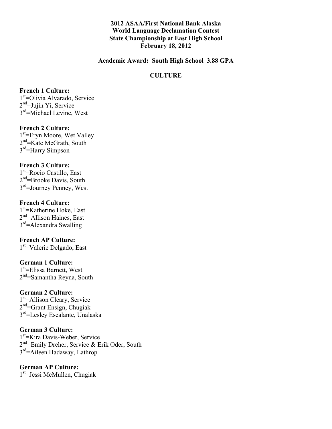**2012 ASAA/First National Bank Alaska World Language Declamation Contest State Championship at East High School February 18, 2012**

**Academic Award: South High School 3.88 GPA**

## **CULTURE**

#### **French 1 Culture:**

1<sup>st</sup>=Olivia Alvarado, Service  $2<sup>nd</sup>=$ Jujin Yi, Service 3<sup>rd</sup>=Michael Levine, West

## **French 2 Culture:**

1<sup>st</sup>=Eryn Moore, Wet Valley 2<sup>nd</sup>=Kate McGrath, South 3<sup>rd</sup>=Harry Simpson

#### **French 3 Culture:**

1st =Rocio Castillo, East 2<sup>nd</sup>=Brooke Davis, South 3rd=Journey Penney, West

## **French 4 Culture:**

1<sup>st</sup>=Katherine Hoke, East 2<sup>nd</sup>=Allison Haines, East 3<sup>rd</sup>=Alexandra Swalling

# **French AP Culture:**

1<sup>st</sup>=Valerie Delgado, East

## **German 1 Culture:**

1<sup>st</sup>=Elissa Barnett, West  $2<sup>nd</sup>=Samantha Revna, South$ 

## **German 2 Culture:**

1<sup>st</sup>=Allison Cleary, Service  $2<sup>nd</sup>=Grant Ensien$ , Chugiak 3rd=Lesley Escalante, Unalaska

#### **German 3 Culture:**

1<sup>st</sup>=Kira Davis-Weber, Service 2<sup>nd</sup>=Emily Dreher, Service & Erik Oder, South 3rd=Aileen Hadaway, Lathrop

## **German AP Culture:** 1<sup>st</sup>=Jessi McMullen, Chugiak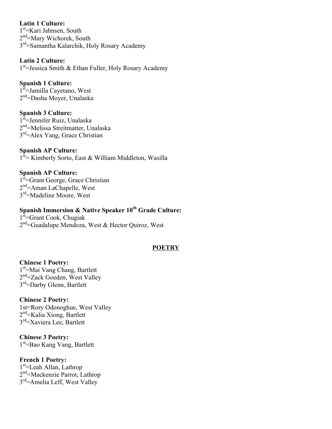**Latin 1 Culture:** 1<sup>st</sup>=Kari Jahnsen, South 2<sup>nd</sup>=Mary Wichorek, South 3rd=Samantha Kalarchik, Holy Rosary Academy

**Latin 2 Culture:** 1<sup>st</sup>=Jessica Smith & Ethan Fuller, Holy Rosary Academy

## **Spanish 1 Culture:**

1<sup>st</sup>=Jamilla Cayetano, West 2<sup>nd</sup>=Dasha Moyer, Unalaska

## **Spanish 3 Culture:**

1<sup>st</sup>=Jennifer Ruiz, Unalaska 2nd=Melissa Streitmatter, Unalaska 3<sup>rd</sup>=Alex Yang, Grace Christian

## **Spanish AP Culture:**

 $1<sup>st</sup>$  Kimberly Sorto, East & William Middleton, Wasilla

## **Spanish AP Culture:**

1<sup>st</sup>=Grant George, Grace Christian 2nd=Aman LaChapelle, West 3rd=Madeline Moore, West

## **Spanish Immersion & Native Speaker 10<sup>th</sup> Grade Culture:**

1<sup>st</sup>=Grant Cook, Chugiak  $2<sup>nd</sup>=$ Guadalupe Mendoza, West & Hector Quiroz, West

#### **POETRY**

**Chinese 1 Poetry:** 1<sup>st</sup>=Mai Vang Chang, Bartlett 2<sup>nd</sup>=Zack Goeden, West Valley 3<sup>rd</sup>=Darby Glenn, Bartlett

#### **Chinese 2 Poetry:**

1st=Rory Odonoghue, West Valley 2<sup>nd</sup>=Kalia Xiong, Bartlett 3rd=Xaviera Lee, Bartlett

**Chinese 3 Poetry:** 1st =Bao Kang Vang, Bartlett

#### **French 1 Poetry:**

1<sup>st</sup>=Leah Allan, Lathrop 2nd=Mackenzie Parrot, Lathrop 3<sup>rd</sup>=Amelia Leff, West Valley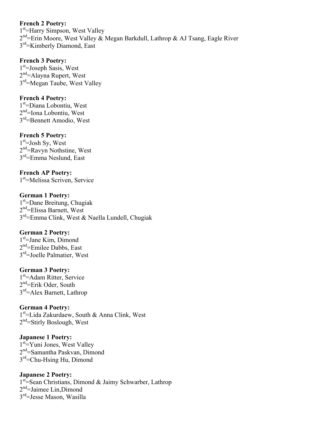## **French 2 Poetry:**

1<sup>st</sup>=Harry Simpson, West Valley 2<sup>nd</sup>=Erin Moore, West Valley & Megan Barkdull, Lathrop & AJ Tsang, Eagle River 3<sup>rd</sup>=Kimberly Diamond, East

## **French 3 Poetry:**

1<sup>st</sup>=Joseph Sasis, West 2<sup>nd</sup>=Alayna Rupert, West 3<sup>rd</sup>=Megan Taube, West Valley

## **French 4 Poetry:**

1<sup>st</sup>=Diana Lobontiu, West  $2<sup>nd</sup>=$ Iona Lobontiu, West 3rd=Bennett Amodio, West

## **French 5 Poetry:**

 $1<sup>st</sup>=$  Josh Sy, West 2nd=Ravyn Nothstine, West 3rd=Emma Neslund, East

**French AP Poetry:** 1<sup>st</sup>=Melissa Scriven, Service

**German 1 Poetry:** 1st =Dane Breitung, Chugiak 2nd=Elissa Barnett, West 3rd=Emma Clink, West & Naella Lundell, Chugiak

## **German 2 Poetry:**

1<sup>st</sup>=Jane Kim, Dimond  $2<sup>nd</sup>=Emilee Dabbs$ , East 3<sup>rd</sup>=Joelle Palmatier, West

#### **German 3 Poetry:**

1<sup>st</sup>=Adam Ritter, Service  $2<sup>nd</sup>$ =Erik Oder, South 3rd=Alex Barnett, Lathrop

## **German 4 Poetry:**

1<sup>st</sup>=Lida Zakurdaew, South & Anna Clink, West 2<sup>nd</sup>=Stirly Boslough, West

## **Japanese 1 Poetry:**

1<sup>st</sup>=Yuni Jones, West Valley 2nd=Samantha Paskvan, Dimond 3rd=Chu-Hsing Hu, Dimond

## **Japanese 2 Poetry:**

1<sup>st</sup> Sean Christians, Dimond & Jaimy Schwarber, Lathrop 2nd=Jaimee Lin,Dimond 3rd=Jesse Mason, Wasilla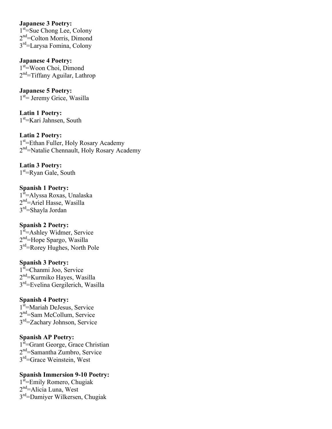## **Japanese 3 Poetry:**

1<sup>st</sup>=Sue Chong Lee, Colony 2<sup>nd</sup>=Colton Morris, Dimond 3rd=Larysa Fomina, Colony

**Japanese 4 Poetry:** 1<sup>st</sup>=Woon Choi, Dimond  $2<sup>nd</sup>=Tiffanv$  Aguilar, Lathrop

**Japanese 5 Poetry:** 1<sup>st</sup> = Jeremy Grice, Wasilla

**Latin 1 Poetry:** 1<sup>st</sup>=Kari Jahnsen, South

**Latin 2 Poetry:** 1<sup>st</sup>=Ethan Fuller, Holy Rosary Academy 2nd=Natalie Chennault, Holy Rosary Academy

**Latin 3 Poetry:** 1<sup>st</sup>=Ryan Gale, South

**Spanish 1 Poetry:** 1<sup>st</sup>=Alyssa Roxas, Unalaska 2<sup>nd</sup>=Ariel Hasse, Wasilla 3rd=Shayla Jordan

## **Spanish 2 Poetry:**

1<sup>st</sup>=Ashley Widmer, Service 2nd=Hope Spargo, Wasilla 3rd=Rorey Hughes, North Pole

#### **Spanish 3 Poetry:**

1<sup>st</sup>=Chanmi Joo, Service 2nd=Kurmiko Hayes, Wasilla 3rd=Evelina Gergilerich, Wasilla

#### **Spanish 4 Poetry:**

1<sup>st</sup>=Mariah DeJesus, Service 2<sup>nd</sup>=Sam McCollum, Service 3rd=Zachary Johnson, Service

#### **Spanish AP Poetry:**

1<sup>st</sup>=Grant George, Grace Christian 2nd=Samantha Zumbro, Service 3rd=Grace Weinstein, West

#### **Spanish Immersion 9-10 Poetry:**

1<sup>st</sup>=Emily Romero, Chugiak 2nd=Alicia Luna, West 3rd=Damiyer Wilkersen, Chugiak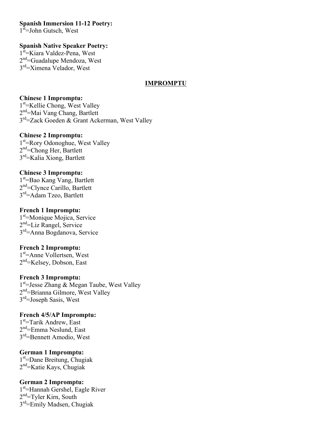**Spanish Immersion 11-12 Poetry:**

1<sup>st</sup>=John Gutsch, West

## **Spanish Native Speaker Poetry:**

1<sup>st</sup>=Kiara Valdez-Pena, West 2<sup>nd</sup>=Guadalupe Mendoza, West 3<sup>rd</sup>=Ximena Velador, West

## **IMPROMPTU**

## **Chinese 1 Impromptu:**

1<sup>st</sup> = Kellie Chong, West Valley 2<sup>nd</sup>=Mai Vang Chang, Bartlett 3rd=Zack Goeden & Grant Ackerman, West Valley

#### **Chinese 2 Impromptu:**

1<sup>st</sup>=Rory Odonoghue, West Valley 2<sup>nd</sup>=Chong Her, Bartlett 3<sup>rd</sup>=Kalia Xiong, Bartlett

## **Chinese 3 Impromptu:**

1st =Bao Kang Vang, Bartlett 2nd=Clynce Carillo, Bartlett 3rd=Adam Tzeo, Bartlett

## **French 1 Impromptu:**

1<sup>st</sup>=Monique Mojica, Service 2nd=Liz Rangel, Service 3rd=Anna Bogdanova, Service

#### **French 2 Impromptu:**

1st =Anne Vollertsen, West  $2<sup>nd</sup>$ =Kelsey, Dobson, East

#### **French 3 Impromptu:**

1<sup>st</sup>=Jesse Zhang & Megan Taube, West Valley 2<sup>nd</sup>=Brianna Gilmore, West Valley 3<sup>rd</sup>=Joseph Sasis, West

## **French 4/5/AP Impromptu:**

1<sup>st</sup>=Tarik Andrew, East 2nd=Emma Neslund, East 3<sup>rd</sup>=Bennett Amodio, West

## **German 1 Impromptu:**

1st =Dane Breitung, Chugiak  $2<sup>nd</sup>$ =Katie Kays, Chugiak

## **German 2 Impromptu:**

1<sup>st</sup>=Hannah Gershel, Eagle River  $2<sup>nd</sup>=T$ yler Kirn, South  $3<sup>rd</sup>=$ Emily Madsen, Chugiak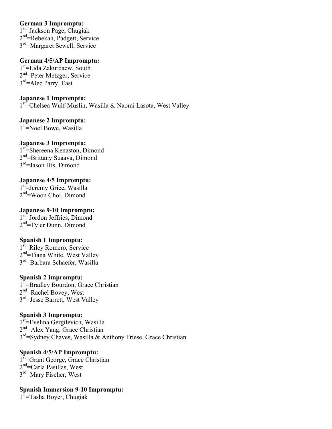## **German 3 Impromptu:**

1<sup>st</sup>=Jackson Page, Chugiak 2nd=Rebekah, Padgett, Service 3rd=Margaret Sewell, Service

## **German 4/5/AP Impromptu:**

1<sup>st</sup>=Lida Zakurdaew, South 2<sup>nd</sup>=Peter Metzger, Service  $3<sup>rd</sup>=$ Alec Parry, East

**Japanese 1 Impromptu:** 1<sup>st</sup>=Chelsea Wulf-Muslin, Wasilla & Naomi Lasota, West Valley

**Japanese 2 Impromptu:** 1<sup>st</sup>=Noel Bowe, Wasilla

## **Japanese 3 Impromptu:**

1<sup>st</sup>=Shereena Kenaston, Dimond 2<sup>nd</sup>=Brittany Suaava, Dimond 3<sup>rd</sup>=Jason His, Dimond

## **Japanese 4/5 Impromptu:**

1<sup>st</sup>=Jeremy Grice, Wasilla 2<sup>nd</sup>=Woon Choi, Dimond

## **Japanese 9-10 Impromptu:**

1st=Jordon Jeffries, Dimond  $2<sup>nd</sup>=T$ yler Dunn, Dimond

## **Spanish 1 Impromptu:**

1<sup>st</sup>=Riley Romero, Service 2<sup>nd</sup>=Tiana White, West Valley 3rd=Barbara Schaefer, Wasilla

## **Spanish 2 Impromptu:**

1<sup>st</sup>=Bradley Bourdon, Grace Christian 2nd=Rachel Bovey, West 3<sup>rd</sup>=Jesse Barrett, West Valley

## **Spanish 3 Impromptu:**

1<sup>st</sup>=Evelina Gergilevich, Wasilla  $2<sup>nd</sup>=$ Alex Yang, Grace Christian  $3<sup>rd</sup>$ =Sydney Chaves, Wasilla & Anthony Friese, Grace Christian

## **Spanish 4/5/AP Impromptu:**

1<sup>st</sup>=Grant George, Grace Christian 2nd=Carla Pasillas, West 3<sup>rd</sup>=Mary Fischer, West

**Spanish Immersion 9-10 Impromptu:**

1<sup>st</sup>=Tasha Boyer, Chugiak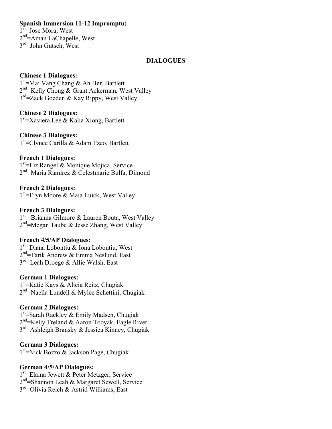## **Spanish Immersion 11-12 Impromptu:**

1<sup>st</sup>=Jose Mora, West 2<sup>nd</sup>=Aman LaChapelle, West 3rd=John Gutsch, West

## **DIALOGUES**

#### **Chinese 1 Dialogues:**

1<sup>st</sup>=Mai Vang Chang & Ah Her, Bartlett 2<sup>nd</sup>=Kelly Chong & Grant Ackerman, West Valley 3rd=Zack Goeden & Kay Rippy, West Valley

**Chinese 2 Dialogues:** 1<sup>st</sup>=Xaviera Lee & Kalia Xiong, Bartlett

**Chinese 3 Dialogues:** 1<sup>st</sup>=Clynce Carilla & Adam Tzeo, Bartlett

## **French 1 Dialogues:**

1<sup>st</sup>=Liz Rangel & Monique Mojica, Service  $2<sup>nd</sup>$ =Maria Ramirez & Celestmarie Bulfa, Dimond

**French 2 Dialogues:** 1<sup>st</sup>=Eryn Moore & Maia Luick, West Valley

#### **French 3 Dialogues:**

1<sup>st</sup> = Brianna Gilmore & Lauren Bouta, West Valley 2<sup>nd</sup>=Megan Taube & Jesse Zhang, West Valley

#### **French 4/5/AP Dialogues:**

1st =Diana Lobontiu & Iona Lobontiu, West 2<sup>nd</sup>=Tarik Andrew & Emma Neslund, East 3<sup>rd</sup>=Leah Droege & Allie Walsh, East

#### **German 1 Dialogues:**

1st =Katie Kays & Alicia Reitz, Chugiak  $2<sup>nd</sup>=$ Naella Lundell & Mylee Schettini, Chugiak

#### **German 2 Dialogues:**

1<sup>st</sup>=Sarah Rackley & Emily Madsen, Chugiak 2<sup>nd</sup>=Kelly Treland & Aaron Tooyak, Eagle River 3rd=Ashleigh Bransky & Jessica Kinney, Chugiak

#### **German 3 Dialogues:**

1<sup>st</sup>=Nick Bozzo & Jackson Page, Chugiak

#### **German 4/5/AP Dialogues:**

1<sup>st</sup>=Elaina Jewett & Peter Metzger, Service 2nd=Shannon Leah & Margaret Sewell, Service 3rd=Olivia Reich & Astrid Williams, East